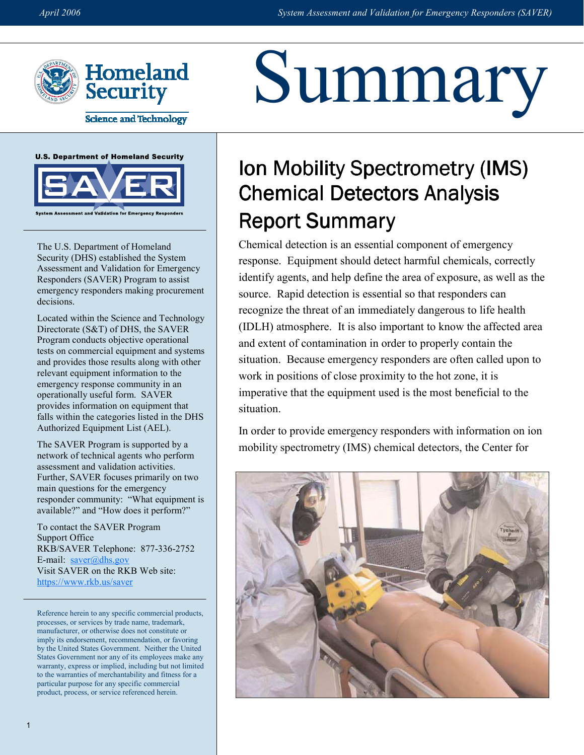Summary



**Science and Technology** 





The U.S. Department of Homeland Security (DHS) established the System Assessment and Validation for Emergency Responders (SAVER) Program to assist emergency responders making procurement decisions.

Located within the Science and Technology Directorate (S&T) of DHS, the SAVER Program conducts objective operational tests on commercial equipment and systems and provides those results along with other relevant equipment information to the emergency response community in an operationally useful form. SAVER provides information on equipment that falls within the categories listed in the DHS Authorized Equipment List (AEL).

The SAVER Program is supported by a network of technical agents who perform assessment and validation activities. Further, SAVER focuses primarily on two main questions for the emergency responder community: "What equipment is available?" and "How does it perform?"

To contact the SAVER Program Support Office RKB/SAVER Telephone: 877-336-2752 E-mail:  $saver@dhs.gov$ Visit SAVER on the RKB Web site: https://www.rkb.us/saver

Reference herein to any specific commercial products, processes, or services by trade name, trademark, manufacturer, or otherwise does not constitute or imply its endorsement, recommendation, or favoring by the United States Government. Neither the United States Government nor any of its employees make any warranty, express or implied, including but not limited to the warranties of merchantability and fitness for a particular purpose for any specific commercial product, process, or service referenced herein.

# Ion Mobility Spectrometry (IMS) Chemical Detectors Analysis Report Summary

Chemical detection is an essential component of emergency response. Equipment should detect harmful chemicals, correctly identify agents, and help define the area of exposure, as well as the source. Rapid detection is essential so that responders can recognize the threat of an immediately dangerous to life health (IDLH) atmosphere. It is also important to know the affected area and extent of contamination in order to properly contain the situation. Because emergency responders are often called upon to work in positions of close proximity to the hot zone, it is imperative that the equipment used is the most beneficial to the situation.

In order to provide emergency responders with information on ion mobility spectrometry (IMS) chemical detectors, the Center for

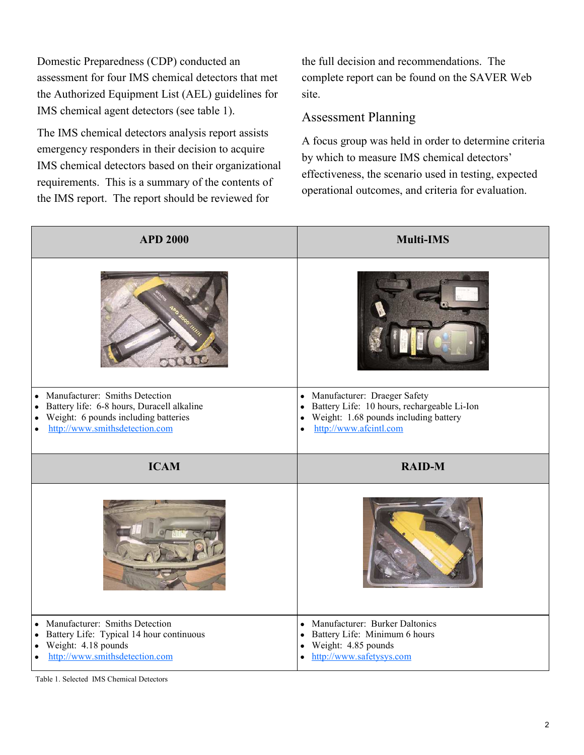the Authorized Equipment List (AEL) guidelines for Domestic Preparedness (CDP) conducted an assessment for four IMS chemical detectors that met IMS chemical agent detectors (see table 1).

 The IMS chemical detectors analysis report assists emergency responders in their decision to acquire IMS chemical detectors based on their organizational requirements. This is a summary of the contents of the IMS report. The report should be reviewed for

the full decision and recommendations. The complete report can be found on the SAVER Web site.

## Assessment Planning

A focus group was held in order to determine criteria by which to measure IMS chemical detectors' effectiveness, the scenario used in testing, expected operational outcomes, and criteria for evaluation.

| <b>APD 2000</b>                                                                                                                                               | <b>Multi-IMS</b>                                                                                                                       |  |  |
|---------------------------------------------------------------------------------------------------------------------------------------------------------------|----------------------------------------------------------------------------------------------------------------------------------------|--|--|
|                                                                                                                                                               |                                                                                                                                        |  |  |
| Manufacturer: Smiths Detection<br>$\bullet$<br>Battery life: 6-8 hours, Duracell alkaline<br>$\bullet$                                                        | • Manufacturer: Draeger Safety<br>Battery Life: 10 hours, rechargeable Li-Ion<br>$\bullet$                                             |  |  |
| Weight: 6 pounds including batteries<br>٠<br>http://www.smithsdetection.com<br>$\bullet$                                                                      | Weight: 1.68 pounds including battery<br>$\bullet$<br>http://www.afcintl.com<br>$\bullet$                                              |  |  |
|                                                                                                                                                               |                                                                                                                                        |  |  |
|                                                                                                                                                               |                                                                                                                                        |  |  |
| <b>ICAM</b>                                                                                                                                                   | <b>RAID-M</b>                                                                                                                          |  |  |
|                                                                                                                                                               |                                                                                                                                        |  |  |
| Manufacturer: Smiths Detection<br>$\bullet$<br>Battery Life: Typical 14 hour continuous<br>$\bullet$<br>Weight: 4.18 pounds<br>http://www.smithsdetection.com | • Manufacturer: Burker Daltonics<br>Battery Life: Minimum 6 hours<br>$\bullet$<br>Weight: 4.85 pounds<br>٠<br>http://www.safetysys.com |  |  |

Table 1. Selected IMS Chemical Detectors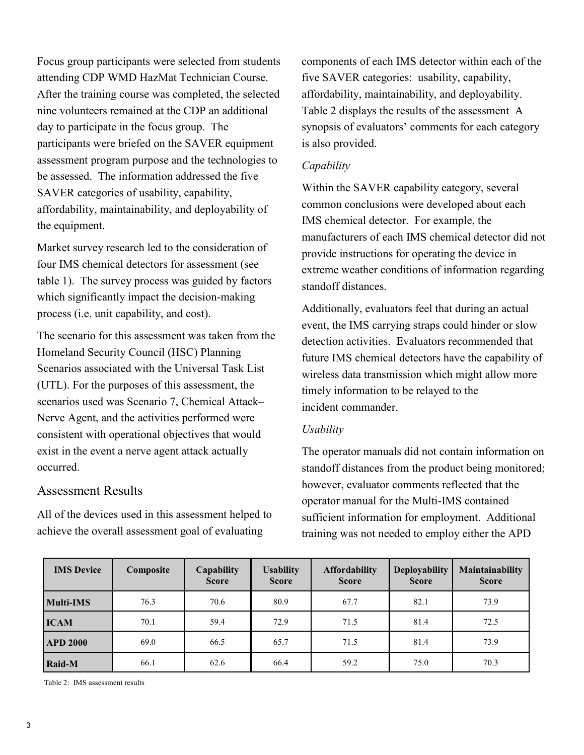attending CDP WMD HazMat Technician Course. After the training course was completed, the selected assessment program purpose and the technologies to be assessed. The information addressed the five Focus group participants were selected from students nine volunteers remained at the CDP an additional day to participate in the focus group. The participants were briefed on the SAVER equipment SAVER categories of usability, capability, affordability, maintainability, and deployability of the equipment.

 four IMS chemical detectors for assessment (see table 1). The survey process was guided by factors Market survey research led to the consideration of which significantly impact the decision-making process (i.e. unit capability, and cost).

 Scenarios associated with the Universal Task List exist in the event a nerve agent attack actually The scenario for this assessment was taken from the Homeland Security Council (HSC) Planning (UTL). For the purposes of this assessment, the scenarios used was Scenario 7, Chemical Attack– Nerve Agent, and the activities performed were consistent with operational objectives that would occurred.

## Assessment Results

 achieve the overall assessment goal of evaluating All of the devices used in this assessment helped to

 synopsis of evaluators' comments for each category components of each IMS detector within each of the five SAVER categories: usability, capability, affordability, maintainability, and deployability. Table 2 displays the results of the assessment A is also provided.

#### **Capability**

 common conclusions were developed about each manufacturers of each IMS chemical detector did not Within the SAVER capability category, several IMS chemical detector. For example, the provide instructions for operating the device in extreme weather conditions of information regarding standoff distances.

 Additionally, evaluators feel that during an actual future IMS chemical detectors have the capability of timely information to be relayed to the event, the IMS carrying straps could hinder or slow detection activities. Evaluators recommended that wireless data transmission which might allow more incident commander.

#### **Usability**

The operator manuals did not contain information on standoff distances from the product being monitored; however, evaluator comments reflected that the operator manual for the Multi-IMS contained sufficient information for employment. Additional training was not needed to employ either the APD

| <b>IMS</b> Device | Composite | Capability<br><b>Score</b> | <b>Usability</b><br><b>Score</b> | <b>Affordability</b><br><b>Score</b> | <b>Deployability</b><br><b>Score</b> | Maintainability<br><b>Score</b> |
|-------------------|-----------|----------------------------|----------------------------------|--------------------------------------|--------------------------------------|---------------------------------|
| <b>Multi-IMS</b>  | 76.3      | 70.6                       | 80.9                             | 67.7                                 | 82.1                                 | 73.9                            |
| <b>ICAM</b>       | 70.1      | 59.4                       | 72.9                             | 71.5                                 | 81.4                                 | 72.5                            |
| <b>APD 2000</b>   | 69.0      | 66.5                       | 65.7                             | 71.5                                 | 81.4                                 | 73.9                            |
| Raid-M            | 66.1      | 62.6                       | 66.4                             | 59.2                                 | 75.0                                 | 70.3                            |

Table 2: IMS assessment results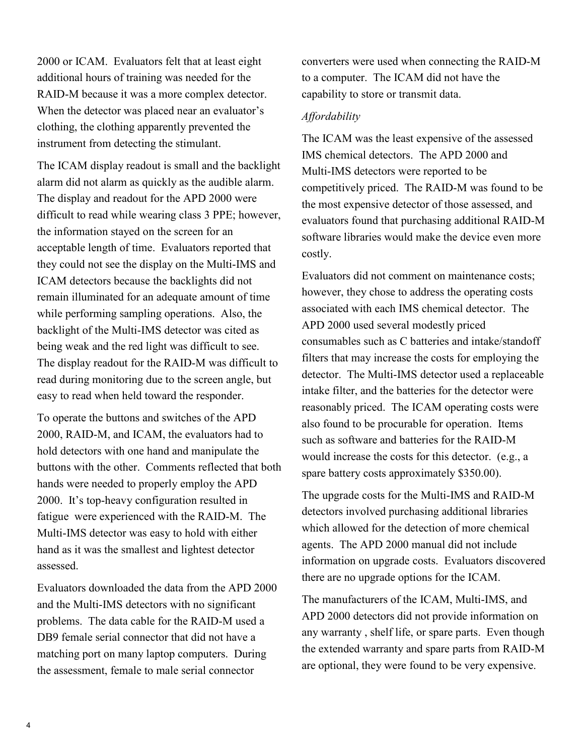RAID-M because it was a more complex detector. 2000 or ICAM. Evaluators felt that at least eight additional hours of training was needed for the When the detector was placed near an evaluator's clothing, the clothing apparently prevented the instrument from detecting the stimulant.

 the information stayed on the screen for an backlight of the Multi-IMS detector was cited as The display readout for the RAID-M was difficult to The ICAM display readout is small and the backlight alarm did not alarm as quickly as the audible alarm. The display and readout for the APD 2000 were difficult to read while wearing class 3 PPE; however, acceptable length of time. Evaluators reported that they could not see the display on the Multi-IMS and ICAM detectors because the backlights did not remain illuminated for an adequate amount of time while performing sampling operations. Also, the being weak and the red light was difficult to see. read during monitoring due to the screen angle, but easy to read when held toward the responder.

Multi-IMS detector was easy to hold with either To operate the buttons and switches of the APD 2000, RAID-M, and ICAM, the evaluators had to hold detectors with one hand and manipulate the buttons with the other. Comments reflected that both hands were needed to properly employ the APD 2000. It's top-heavy configuration resulted in fatigue were experienced with the RAID-M. The hand as it was the smallest and lightest detector assessed.

problems. The data cable for the RAID-M used a Evaluators downloaded the data from the APD 2000 and the Multi-IMS detectors with no significant DB9 female serial connector that did not have a matching port on many laptop computers. During the assessment, female to male serial connector

converters were used when connecting the RAID-M to a computer. The ICAM did not have the capability to store or transmit data.

### Affordability

competitively priced. The RAID-M was found to be The ICAM was the least expensive of the assessed IMS chemical detectors. The APD 2000 and Multi-IMS detectors were reported to be the most expensive detector of those assessed, and evaluators found that purchasing additional RAID-M software libraries would make the device even more costly.

 however, they chose to address the operating costs Evaluators did not comment on maintenance costs; associated with each IMS chemical detector. The APD 2000 used several modestly priced consumables such as C batteries and intake/standoff filters that may increase the costs for employing the detector. The Multi-IMS detector used a replaceable intake filter, and the batteries for the detector were reasonably priced. The ICAM operating costs were also found to be procurable for operation. Items such as software and batteries for the RAID-M would increase the costs for this detector. (e.g., a spare battery costs approximately \$350.00).

 which allowed for the detection of more chemical The upgrade costs for the Multi-IMS and RAID-M detectors involved purchasing additional libraries agents. The APD 2000 manual did not include information on upgrade costs. Evaluators discovered there are no upgrade options for the ICAM.

 are optional, they were found to be very expensive. The manufacturers of the ICAM, Multi-IMS, and APD 2000 detectors did not provide information on any warranty , shelf life, or spare parts. Even though the extended warranty and spare parts from RAID-M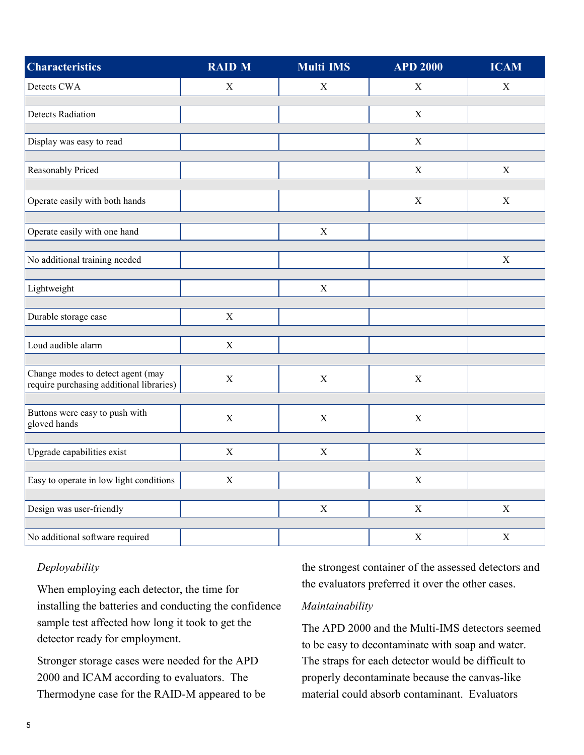| <b>Characteristics</b>                                                        | <b>RAID M</b> | <b>Multi IMS</b> | <b>APD 2000</b>           | <b>ICAM</b> |
|-------------------------------------------------------------------------------|---------------|------------------|---------------------------|-------------|
| Detects CWA                                                                   | $\mathbf X$   | $\mathbf X$      | $\mathbf X$               | $\mathbf X$ |
| <b>Detects Radiation</b>                                                      |               |                  | X                         |             |
| Display was easy to read                                                      |               |                  | $\boldsymbol{\mathrm{X}}$ |             |
| Reasonably Priced                                                             |               |                  | $\mathbf X$               | $\mathbf X$ |
| Operate easily with both hands                                                |               |                  | $\mathbf X$               | $\mathbf X$ |
| Operate easily with one hand                                                  |               | $\mathbf X$      |                           |             |
| No additional training needed                                                 |               |                  |                           | $\mathbf X$ |
| Lightweight                                                                   |               | $\mathbf X$      |                           |             |
| Durable storage case                                                          | $\mathbf X$   |                  |                           |             |
| Loud audible alarm                                                            | $\mathbf X$   |                  |                           |             |
| Change modes to detect agent (may<br>require purchasing additional libraries) | $\mathbf X$   | $\mathbf X$      | $\mathbf X$               |             |
| Buttons were easy to push with<br>gloved hands                                | $\mathbf X$   | $\mathbf X$      | $\mathbf X$               |             |
| Upgrade capabilities exist                                                    | $\mathbf X$   | $\mathbf X$      | $\mathbf X$               |             |
| Easy to operate in low light conditions                                       | $\mathbf X$   |                  | $\mathbf X$               |             |
| Design was user-friendly                                                      |               | $\mathbf X$      | $\mathbf X$               | $\mathbf X$ |
| No additional software required                                               |               |                  | $\mathbf X$               | $\mathbf X$ |

## Deployability

When employing each detector, the time for installing the batteries and conducting the confidence sample test affected how long it took to get the detector ready for employment.

 Stronger storage cases were needed for the APD 2000 and ICAM according to evaluators. The Thermodyne case for the RAID-M appeared to be the strongest container of the assessed detectors and the evaluators preferred it over the other cases.

#### Maintainability

The APD 2000 and the Multi-IMS detectors seemed to be easy to decontaminate with soap and water. The straps for each detector would be difficult to properly decontaminate because the canvas-like material could absorb contaminant. Evaluators